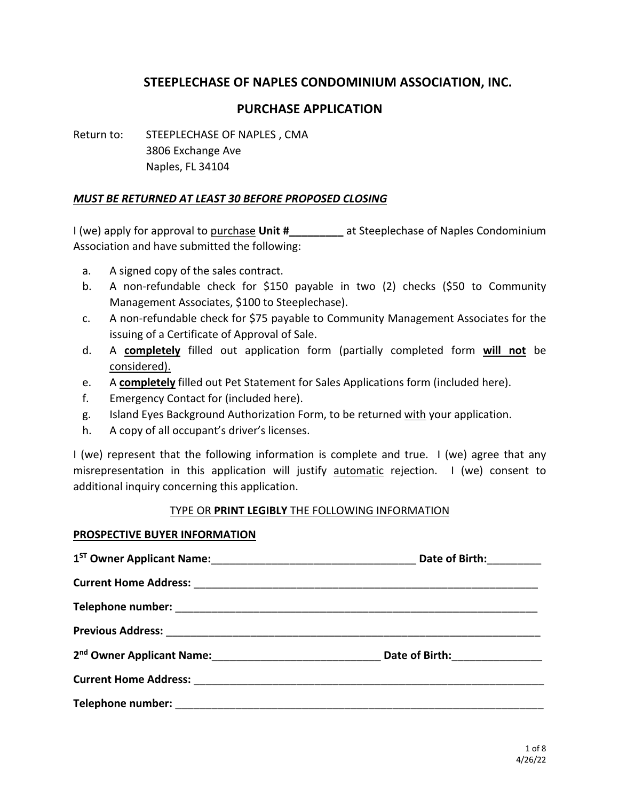### **STEEPLECHASE OF NAPLES CONDOMINIUM ASSOCIATION, INC.**

#### **PURCHASE APPLICATION**

Return to: STEEPLECHASE OF NAPLES , CMA 3806 Exchange Ave Naples, FL 34104

#### *MUST BE RETURNED AT LEAST 30 BEFORE PROPOSED CLOSING*

I (we) apply for approval to purchase **Unit #\_\_\_\_\_\_\_\_\_** at Steeplechase of Naples Condominium Association and have submitted the following:

- a. A signed copy of the sales contract.
- b. A non-refundable check for \$150 payable in two (2) checks (\$50 to Community Management Associates, \$100 to Steeplechase).
- c. A non-refundable check for \$75 payable to Community Management Associates for the issuing of a Certificate of Approval of Sale.
- d. A **completely** filled out application form (partially completed form **will not** be considered).
- e. A **completely** filled out Pet Statement for Sales Applications form (included here).
- f. Emergency Contact for (included here).
- g. Island Eyes Background Authorization Form, to be returned with your application.
- h. A copy of all occupant's driver's licenses.

I (we) represent that the following information is complete and true. I (we) agree that any misrepresentation in this application will justify automatic rejection. I (we) consent to additional inquiry concerning this application.

#### TYPE OR **PRINT LEGIBLY** THE FOLLOWING INFORMATION

#### **PROSPECTIVE BUYER INFORMATION**

|                   | Date of Birth: _______          |
|-------------------|---------------------------------|
|                   |                                 |
|                   |                                 |
|                   |                                 |
|                   | Date of Birth: <u>_________</u> |
|                   |                                 |
| Telephone number: |                                 |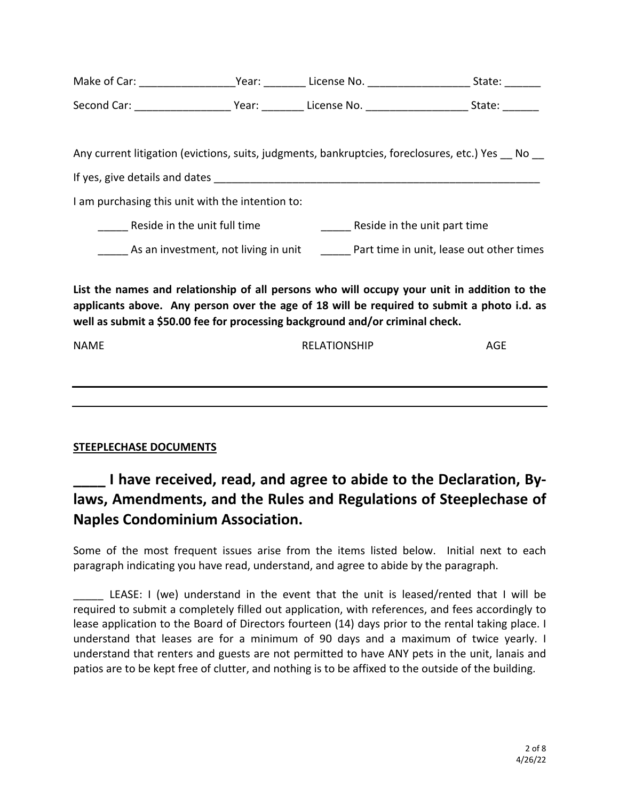| Make of Car: | Year: | License No. | State: |
|--------------|-------|-------------|--------|
| Second Car:  | Year: | License No. | State: |

Any current litigation (evictions, suits, judgments, bankruptcies, foreclosures, etc.) Yes No

If yes, give details and dates **EXECUTE 10** and  $\alpha$ 

I am purchasing this unit with the intention to:

Reside in the unit full time example are seen to reside in the unit part time

As an investment, not living in unit **Example 2 Part time in unit, lease out other times** 

**List the names and relationship of all persons who will occupy your unit in addition to the applicants above. Any person over the age of 18 will be required to submit a photo i.d. as well as submit a \$50.00 fee for processing background and/or criminal check.**

| NAME | RELATIONSHIP | <b>AGE</b> |
|------|--------------|------------|
|      |              |            |
|      |              |            |
|      |              |            |
|      |              |            |

## **STEEPLECHASE DOCUMENTS**

# **\_\_\_\_ I have received, read, and agree to abide to the Declaration, Bylaws, Amendments, and the Rules and Regulations of Steeplechase of Naples Condominium Association.**

Some of the most frequent issues arise from the items listed below. Initial next to each paragraph indicating you have read, understand, and agree to abide by the paragraph.

LEASE: I (we) understand in the event that the unit is leased/rented that I will be required to submit a completely filled out application, with references, and fees accordingly to lease application to the Board of Directors fourteen (14) days prior to the rental taking place. I understand that leases are for a minimum of 90 days and a maximum of twice yearly. I understand that renters and guests are not permitted to have ANY pets in the unit, lanais and patios are to be kept free of clutter, and nothing is to be affixed to the outside of the building.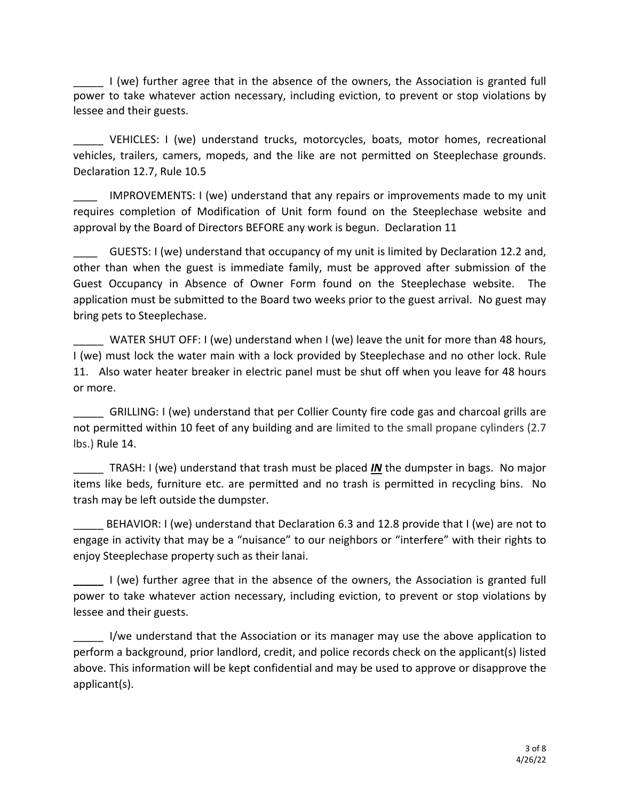\_\_\_\_\_ I (we) further agree that in the absence of the owners, the Association is granted full power to take whatever action necessary, including eviction, to prevent or stop violations by lessee and their guests.

VEHICLES: I (we) understand trucks, motorcycles, boats, motor homes, recreational vehicles, trailers, camers, mopeds, and the like are not permitted on Steeplechase grounds. Declaration 12.7, Rule 10.5

IMPROVEMENTS: I (we) understand that any repairs or improvements made to my unit requires completion of Modification of Unit form found on the Steeplechase website and approval by the Board of Directors BEFORE any work is begun. Declaration 11

\_\_\_\_ GUESTS: I (we) understand that occupancy of my unit is limited by Declaration 12.2 and, other than when the guest is immediate family, must be approved after submission of the Guest Occupancy in Absence of Owner Form found on the Steeplechase website. The application must be submitted to the Board two weeks prior to the guest arrival. No guest may bring pets to Steeplechase.

WATER SHUT OFF: I (we) understand when I (we) leave the unit for more than 48 hours, I (we) must lock the water main with a lock provided by Steeplechase and no other lock. Rule 11. Also water heater breaker in electric panel must be shut off when you leave for 48 hours or more.

\_\_\_\_\_ GRILLING: I (we) understand that per Collier County fire code gas and charcoal grills are not permitted within 10 feet of any building and are limited to the small propane cylinders (2.7 lbs.) Rule 14.

TRASH: I (we) understand that trash must be placed *IN* the dumpster in bags. No major items like beds, furniture etc. are permitted and no trash is permitted in recycling bins. No trash may be left outside the dumpster.

BEHAVIOR: I (we) understand that Declaration 6.3 and 12.8 provide that I (we) are not to engage in activity that may be a "nuisance" to our neighbors or "interfere" with their rights to enjoy Steeplechase property such as their lanai.

**\_\_\_\_\_** I (we) further agree that in the absence of the owners, the Association is granted full power to take whatever action necessary, including eviction, to prevent or stop violations by lessee and their guests.

I/we understand that the Association or its manager may use the above application to perform a background, prior landlord, credit, and police records check on the applicant(s) listed above. This information will be kept confidential and may be used to approve or disapprove the applicant(s).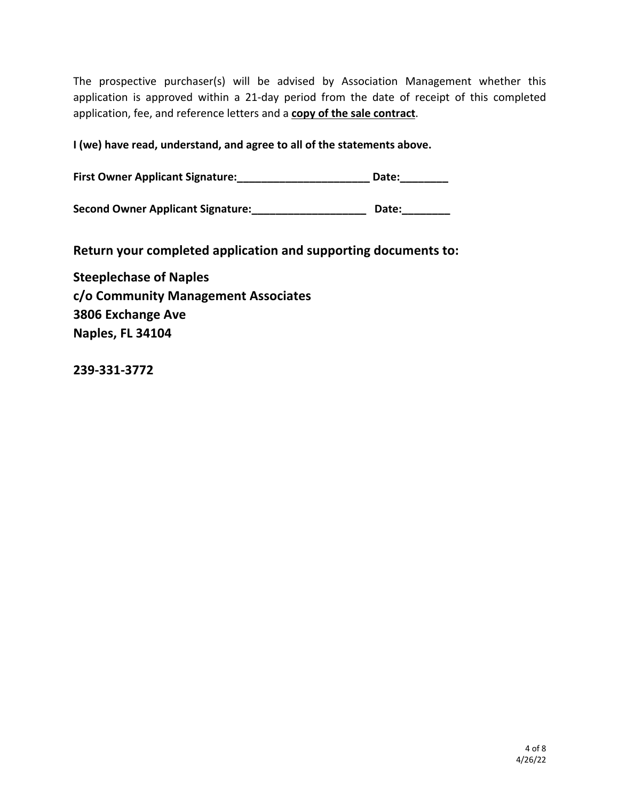The prospective purchaser(s) will be advised by Association Management whether this application is approved within a 21-day period from the date of receipt of this completed application, fee, and reference letters and a **copy of the sale contract**.

**I (we) have read, understand, and agree to all of the statements above.**

**First Owner Applicant Signature:\_\_\_\_\_\_\_\_\_\_\_\_\_\_\_\_\_\_\_\_\_\_ Date:\_\_\_\_\_\_\_\_**

**Second Owner Applicant Signature:\_\_\_\_\_\_\_\_\_\_\_\_\_\_\_\_\_\_\_ Date:\_\_\_\_\_\_\_\_**

**Return your completed application and supporting documents to:**

**Steeplechase of Naples c/o Community Management Associates 3806 Exchange Ave Naples, FL 34104**

**239-331-3772**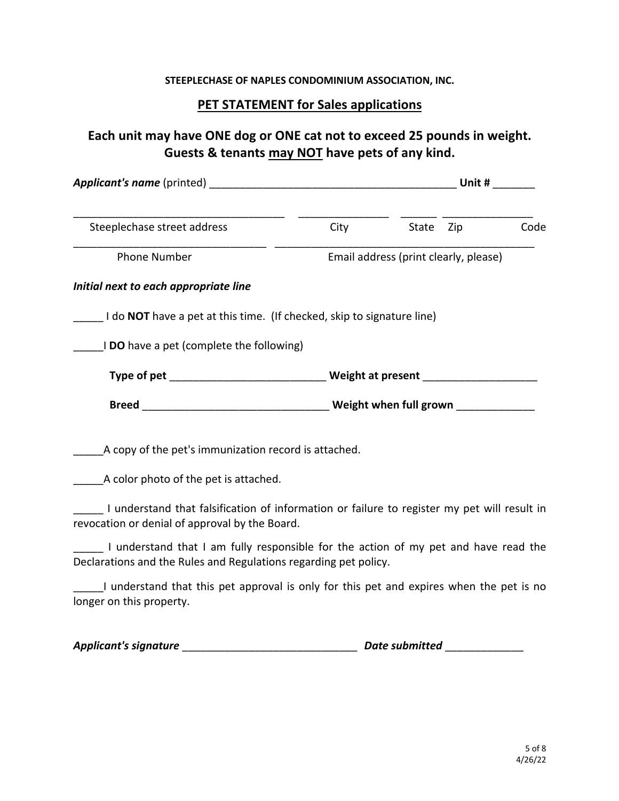#### **STEEPLECHASE OF NAPLES CONDOMINIUM ASSOCIATION, INC.**

### **PET STATEMENT for Sales applications**

# **Each unit may have ONE dog or ONE cat not to exceed 25 pounds in weight. Guests & tenants may NOT have pets of any kind.**

| <b>Applicant's name (printed)</b>                                                                                                                       |      |                                       | Unit # |      |
|---------------------------------------------------------------------------------------------------------------------------------------------------------|------|---------------------------------------|--------|------|
| Steeplechase street address                                                                                                                             | City | State                                 | Zip    | Code |
| <b>Phone Number</b>                                                                                                                                     |      | Email address (print clearly, please) |        |      |
| Initial next to each appropriate line                                                                                                                   |      |                                       |        |      |
| I do <b>NOT</b> have a pet at this time. (If checked, skip to signature line)                                                                           |      |                                       |        |      |
| I DO have a pet (complete the following)                                                                                                                |      |                                       |        |      |
|                                                                                                                                                         |      |                                       |        |      |
| Breed <b>Reading Exercise Structure in the U</b> Neight when full grown                                                                                 |      |                                       |        |      |
| A copy of the pet's immunization record is attached.<br>A color photo of the pet is attached.                                                           |      |                                       |        |      |
| I understand that falsification of information or failure to register my pet will result in<br>revocation or denial of approval by the Board.           |      |                                       |        |      |
| I understand that I am fully responsible for the action of my pet and have read the<br>Declarations and the Rules and Regulations regarding pet policy. |      |                                       |        |      |
| I understand that this pet approval is only for this pet and expires when the pet is no<br>longer on this property.                                     |      |                                       |        |      |
|                                                                                                                                                         |      |                                       |        |      |

*Applicant's signature* \_\_\_\_\_\_\_\_\_\_\_\_\_\_\_\_\_\_\_\_\_\_\_\_\_\_\_\_\_ *Date submitted* \_\_\_\_\_\_\_\_\_\_\_\_\_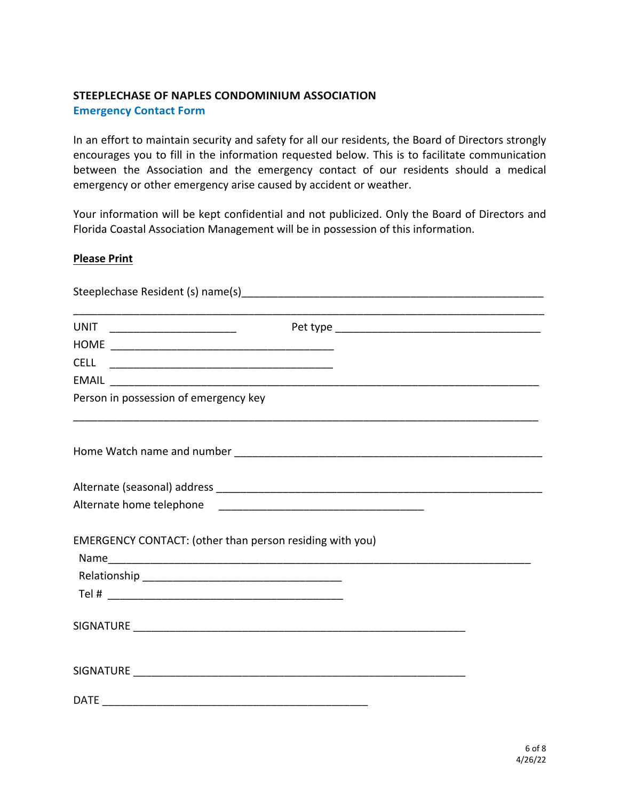#### **STEEPLECHASE OF NAPLES CONDOMINIUM ASSOCIATION Emergency Contact Form**

In an effort to maintain security and safety for all our residents, the Board of Directors strongly encourages you to fill in the information requested below. This is to facilitate communication between the Association and the emergency contact of our residents should a medical emergency or other emergency arise caused by accident or weather.

Your information will be kept confidential and not publicized. Only the Board of Directors and Florida Coastal Association Management will be in possession of this information.

#### **Please Print**

| Person in possession of emergency key |                                                          |  |
|---------------------------------------|----------------------------------------------------------|--|
|                                       |                                                          |  |
|                                       |                                                          |  |
|                                       |                                                          |  |
|                                       |                                                          |  |
|                                       | EMERGENCY CONTACT: (other than person residing with you) |  |
|                                       |                                                          |  |
|                                       |                                                          |  |
|                                       |                                                          |  |
|                                       |                                                          |  |
|                                       |                                                          |  |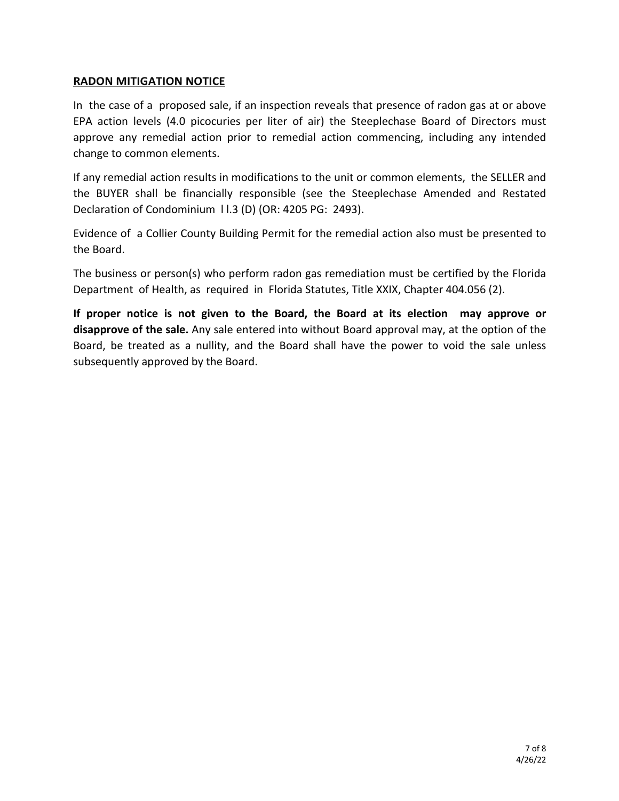#### **RADON MITIGATION NOTICE**

In the case of a proposed sale, if an inspection reveals that presence of radon gas at or above EPA action levels (4.0 picocuries per liter of air) the Steeplechase Board of Directors must approve any remedial action prior to remedial action commencing, including any intended change to common elements.

If any remedial action results in modifications to the unit or common elements, the SELLER and the BUYER shall be financially responsible (see the Steeplechase Amended and Restated Declaration of Condominium l l.3 (D) (OR: 4205 PG: 2493).

Evidence of a Collier County Building Permit for the remedial action also must be presented to the Board.

The business or person(s) who perform radon gas remediation must be certified by the Florida Department of Health, as required in Florida Statutes, Title XXIX, Chapter 404.056 (2).

**If proper notice is not given to the Board, the Board at its election may approve or disapprove of the sale.** Any sale entered into without Board approval may, at the option of the Board, be treated as a nullity, and the Board shall have the power to void the sale unless subsequently approved by the Board.